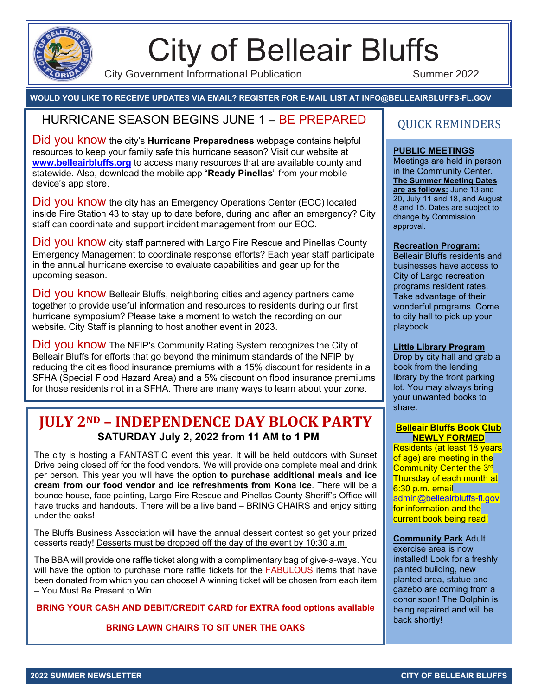

# City of Belleair Bluffs

City Government Informational Publication **Summer 2022** 

#### **WOULD YOU LIKE TO RECEIVE UPDATES VIA EMAIL? REGISTER FOR E-MAIL LIST AT INFO@BELLEAIRBLUFFS-FL.GOV**

### HURRICANE SEASON BEGINS JUNE 1 – BE PREPARED  $\parallel$  OUICK REMINDERS

Did you know the city's **Hurricane Preparedness** webpage contains helpful resources to keep your family safe this hurricane season? Visit our website at **[www.belleairbluffs.org](http://www.belleairbluffs.org/)** to access many resources that are available county and statewide. Also, download the mobile app "**Ready Pinellas**" from your mobile device's app store.

Did you know the city has an Emergency Operations Center (EOC) located inside Fire Station 43 to stay up to date before, during and after an emergency? City staff can coordinate and support incident management from our EOC.

Did you know city staff partnered with Largo Fire Rescue and Pinellas County Emergency Management to coordinate response efforts? Each year staff participate in the annual hurricane exercise to evaluate capabilities and gear up for the upcoming season.

Did you know Belleair Bluffs, neighboring cities and agency partners came together to provide useful information and resources to residents during our first hurricane symposium? Please take a moment to watch the recording on our website. City Staff is planning to host another event in 2023.

Did you know The NFIP's Community Rating System recognizes the City of Belleair Bluffs for efforts that go beyond the minimum standards of the NFIP by reducing the cities flood insurance premiums with a 15% discount for residents in a SFHA (Special Flood Hazard Area) and a 5% discount on flood insurance premiums for those residents not in a SFHA. There are many ways to learn about your zone.

#### **JULY 2ND – INDEPENDENCE DAY BLOCK PARTY SATURDAY July 2, 2022 from 11 AM to 1 PM**

The city is hosting a FANTASTIC event this year. It will be held outdoors with Sunset Drive being closed off for the food vendors. We will provide one complete meal and drink per person. This year you will have the option **to purchase additional meals and ice cream from our food vendor and ice refreshments from Kona Ice**. There will be a bounce house, face painting, Largo Fire Rescue and Pinellas County Sheriff's Office will have trucks and handouts. There will be a live band – BRING CHAIRS and enjoy sitting under the oaks!

The Bluffs Business Association will have the annual dessert contest so get your prized desserts ready! Desserts must be dropped off the day of the event by 10:30 a.m.

The BBA will provide one raffle ticket along with a complimentary bag of give-a-ways. You will have the option to purchase more raffle tickets for the FABULOUS items that have been donated from which you can choose! A winning ticket will be chosen from each item – You Must Be Present to Win.

**BRING YOUR CASH AND DEBIT/CREDIT CARD for EXTRA food options available** 

**BRING LAWN CHAIRS TO SIT UNER THE OAKS**

#### **PUBLIC MEETINGS**

Meetings are held in person in the Community Center. **The Summer Meeting Dates are as follows:** June 13 and 20, July 11 and 18, and August 8 and 15. Dates are subject to change by Commission approval.

#### **Recreation Program:**

Belleair Bluffs residents and businesses have access to City of Largo recreation programs resident rates. Take advantage of their wonderful programs. Come to city hall to pick up your playbook.

#### **Little Library Program**

Drop by city hall and grab a book from the lending library by the front parking lot. You may always bring your unwanted books to share.

#### **Belleair Bluffs Book Club NEWLY FORMED**

Residents (at least 18 years of age) are meeting in the **Community Center the 3rd** Thursday of each month at 6:30 p.m. email [admin@belleairbluffs-fl.gov](mailto:admin@belleairbluffs-fl.gov) for information and the current book being read!

#### **Community Park** Adult

exercise area is now installed! Look for a freshly painted building, new planted area, statue and gazebo are coming from a donor soon! The Dolphin is being repaired and will be back shortly!